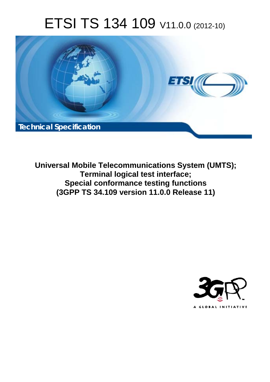# ETSI TS 134 109 V11.0.0 (2012-10)



**Universal Mobile Telecommunications System (UMTS); Terminal logical test interface; Special conformance testing functions (3GPP TS 34.109 version 11.0.0 Release 11)** 

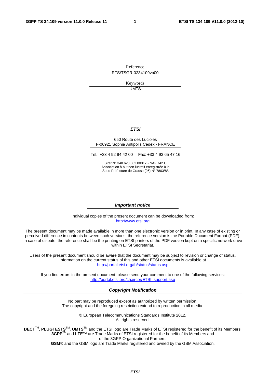Reference RTS/TSGR-0234109vb00

> Keywords UMTS

#### *ETSI*

#### 650 Route des Lucioles F-06921 Sophia Antipolis Cedex - FRANCE

Tel.: +33 4 92 94 42 00 Fax: +33 4 93 65 47 16

Siret N° 348 623 562 00017 - NAF 742 C Association à but non lucratif enregistrée à la Sous-Préfecture de Grasse (06) N° 7803/88

#### *Important notice*

Individual copies of the present document can be downloaded from: [http://www.etsi.org](http://www.etsi.org/)

The present document may be made available in more than one electronic version or in print. In any case of existing or perceived difference in contents between such versions, the reference version is the Portable Document Format (PDF). In case of dispute, the reference shall be the printing on ETSI printers of the PDF version kept on a specific network drive within ETSI Secretariat.

Users of the present document should be aware that the document may be subject to revision or change of status. Information on the current status of this and other ETSI documents is available at <http://portal.etsi.org/tb/status/status.asp>

If you find errors in the present document, please send your comment to one of the following services: [http://portal.etsi.org/chaircor/ETSI\\_support.asp](http://portal.etsi.org/chaircor/ETSI_support.asp)

#### *Copyright Notification*

No part may be reproduced except as authorized by written permission. The copyright and the foregoing restriction extend to reproduction in all media.

> © European Telecommunications Standards Institute 2012. All rights reserved.

DECT<sup>™</sup>, PLUGTESTS<sup>™</sup>, UMTS<sup>™</sup> and the ETSI logo are Trade Marks of ETSI registered for the benefit of its Members. **3GPP**TM and **LTE**™ are Trade Marks of ETSI registered for the benefit of its Members and of the 3GPP Organizational Partners.

**GSM**® and the GSM logo are Trade Marks registered and owned by the GSM Association.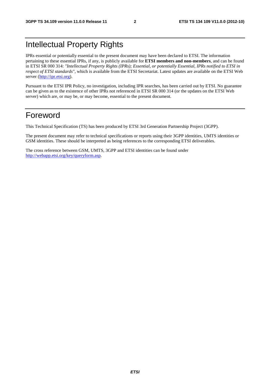# Intellectual Property Rights

IPRs essential or potentially essential to the present document may have been declared to ETSI. The information pertaining to these essential IPRs, if any, is publicly available for **ETSI members and non-members**, and can be found in ETSI SR 000 314: *"Intellectual Property Rights (IPRs); Essential, or potentially Essential, IPRs notified to ETSI in respect of ETSI standards"*, which is available from the ETSI Secretariat. Latest updates are available on the ETSI Web server [\(http://ipr.etsi.org](http://webapp.etsi.org/IPR/home.asp)).

Pursuant to the ETSI IPR Policy, no investigation, including IPR searches, has been carried out by ETSI. No guarantee can be given as to the existence of other IPRs not referenced in ETSI SR 000 314 (or the updates on the ETSI Web server) which are, or may be, or may become, essential to the present document.

# Foreword

This Technical Specification (TS) has been produced by ETSI 3rd Generation Partnership Project (3GPP).

The present document may refer to technical specifications or reports using their 3GPP identities, UMTS identities or GSM identities. These should be interpreted as being references to the corresponding ETSI deliverables.

The cross reference between GSM, UMTS, 3GPP and ETSI identities can be found under [http://webapp.etsi.org/key/queryform.asp.](http://webapp.etsi.org/key/queryform.asp)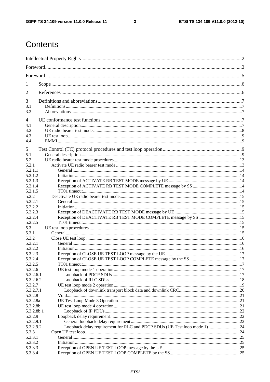$\mathbf{3}$ 

# Contents

| 1                      |                                                                           |  |
|------------------------|---------------------------------------------------------------------------|--|
| 2                      |                                                                           |  |
| 3                      |                                                                           |  |
| 3.1<br>3.2             |                                                                           |  |
| 4                      |                                                                           |  |
| 4.1                    |                                                                           |  |
| 4.2                    |                                                                           |  |
| 4.3                    |                                                                           |  |
| 4.4                    |                                                                           |  |
| 5                      |                                                                           |  |
| 5.1                    |                                                                           |  |
| 5.2                    |                                                                           |  |
| 5.2.1                  |                                                                           |  |
| 5.2.1.1                |                                                                           |  |
| 5.2.1.2                |                                                                           |  |
| 5.2.1.3                |                                                                           |  |
| 5.2.1.4                |                                                                           |  |
| 5.2.1.5                |                                                                           |  |
| 5.2.2                  |                                                                           |  |
| 5.2.2.1                |                                                                           |  |
| 5.2.2.2                |                                                                           |  |
| 5.2.2.3                |                                                                           |  |
| 5.2.2.4                |                                                                           |  |
| 5.2.2.5                |                                                                           |  |
| 5.3                    |                                                                           |  |
| 5.3.1                  |                                                                           |  |
| 5.3.2                  |                                                                           |  |
| 5.3.2.1                |                                                                           |  |
| 5.3.2.2                |                                                                           |  |
| 5.3.2.3                |                                                                           |  |
| 5.3.2.4                |                                                                           |  |
| 5.3.2.5                |                                                                           |  |
| 5.3.2.6                |                                                                           |  |
| 5.3.2.6.1<br>5.3.2.6.2 |                                                                           |  |
| 5.3.2.7                |                                                                           |  |
| 5.3.2.7.1              |                                                                           |  |
| 5.3.2.8                |                                                                           |  |
| 5.3.2.8a               |                                                                           |  |
| 5.3.2.8b               |                                                                           |  |
| 5.3.2.8b.1             |                                                                           |  |
| 5.3.2.9                |                                                                           |  |
| 5.3.2.9.1              |                                                                           |  |
| 5.3.2.9.2              | Loopback delay requirement for RLC and PDCP SDUs (UE Test loop mode 1) 24 |  |
| 5.3.3                  |                                                                           |  |
| 5.3.3.1                |                                                                           |  |
| 5.3.3.2                |                                                                           |  |
| 5.3.3.3                |                                                                           |  |
| 5.3.3.4                |                                                                           |  |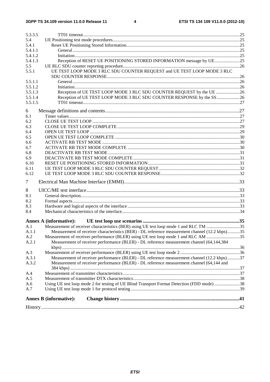#### $\overline{\mathbf{4}}$

| 5.3.3.5            |                                                                                                |  |
|--------------------|------------------------------------------------------------------------------------------------|--|
| 5.4                |                                                                                                |  |
| 5.4.1              |                                                                                                |  |
| 5.4.1.1            |                                                                                                |  |
| 5.4.1.2            |                                                                                                |  |
| 5.4.1.3            |                                                                                                |  |
| 5.5                |                                                                                                |  |
| 5.5.1              | UE TEST LOOP MODE 3 RLC SDU COUNTER REQUEST and UE TEST LOOP MODE 3 RLC                        |  |
|                    |                                                                                                |  |
| 5.5.1.1            |                                                                                                |  |
| 5.5.1.2<br>5.5.1.3 | Reception of UE TEST LOOP MODE 3 RLC SDU COUNTER REQUEST by the UE 26                          |  |
| 5.5.1.4            |                                                                                                |  |
|                    | Reception of UE TEST LOOP MODE 3 RLC SDU COUNTER RESPONSE by the SS26                          |  |
| 5.5.1.5            |                                                                                                |  |
| 6                  |                                                                                                |  |
| 6.1                |                                                                                                |  |
| 6.2                |                                                                                                |  |
| 6.3                |                                                                                                |  |
| 6.4                |                                                                                                |  |
| 6.5                |                                                                                                |  |
| 6.6                |                                                                                                |  |
| 6.7                |                                                                                                |  |
| 6.8                |                                                                                                |  |
| 6.9                |                                                                                                |  |
| 6.10               |                                                                                                |  |
| 6.11               |                                                                                                |  |
| 6.12               |                                                                                                |  |
| 7                  |                                                                                                |  |
| 8                  |                                                                                                |  |
| 8.1                |                                                                                                |  |
| 8.2                |                                                                                                |  |
| 8.3                |                                                                                                |  |
| 8.4                |                                                                                                |  |
|                    | <b>Annex A (informative):</b>                                                                  |  |
| A.1                | Measurement of receiver characteristics (BER) using UE test loop mode 1 and RLC TM 35          |  |
| A.1.1              | Measurement of receiver characteristics (BER) - DL reference measurement channel (12.2 kbps)35 |  |
| A.2                | Measurement of receiver performance (BLER) using UE test loop mode 1 and RLC AM 35             |  |
| A.2.1              | Measurement of receiver performance (BLER) - DL reference measurement channel (64,144,384)     |  |
|                    |                                                                                                |  |
| A.3                |                                                                                                |  |
| A.3.1              | Measurement of receiver performance (BLER) - DL reference measurement channel (12.2 kbps)37    |  |
| A.3.2              | Measurement of receiver performance (BLER) - DL reference measurement channel (64,144 and      |  |
|                    |                                                                                                |  |
| A.4                |                                                                                                |  |
| A.5                |                                                                                                |  |
| A.6                | Using UE test loop mode 2 for testing of UE Blind Transport Format Detection (FDD mode) 38     |  |
| A.7                |                                                                                                |  |
|                    |                                                                                                |  |
|                    | <b>Annex B</b> (informative):                                                                  |  |
|                    |                                                                                                |  |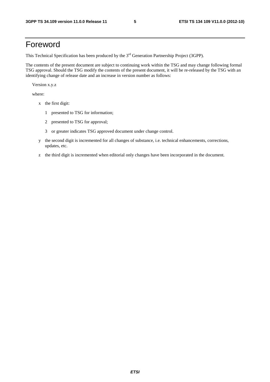# Foreword

This Technical Specification has been produced by the 3<sup>rd</sup> Generation Partnership Project (3GPP).

The contents of the present document are subject to continuing work within the TSG and may change following formal TSG approval. Should the TSG modify the contents of the present document, it will be re-released by the TSG with an identifying change of release date and an increase in version number as follows:

Version x.y.z

where:

- x the first digit:
	- 1 presented to TSG for information;
	- 2 presented to TSG for approval;
	- 3 or greater indicates TSG approved document under change control.
- y the second digit is incremented for all changes of substance, i.e. technical enhancements, corrections, updates, etc.
- z the third digit is incremented when editorial only changes have been incorporated in the document.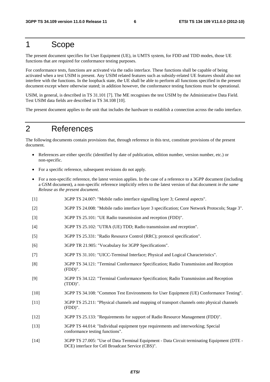# 1 Scope

The present document specifies for User Equipment (UE), in UMTS system, for FDD and TDD modes, those UE functions that are required for conformance testing purposes.

For conformance tests, functions are activated via the radio interface. These functions shall be capable of being activated when a test USIM is present. Any USIM related features such as subsidy-related UE features should also not interfere with the functions. In the loopback state, the UE shall be able to perform all functions specified in the present document except where otherwise stated; in addition however, the conformance testing functions must be operational.

USIM, in general, is described in TS 31.101 [7]. The ME recognises the test USIM by the Administrative Data Field. Test USIM data fields are described in TS 34.108 [10].

The present document applies to the unit that includes the hardware to establish a connection across the radio interface.

# 2 References

The following documents contain provisions that, through reference in this text, constitute provisions of the present document.

- References are either specific (identified by date of publication, edition number, version number, etc.) or non-specific.
- For a specific reference, subsequent revisions do not apply.
- For a non-specific reference, the latest version applies. In the case of a reference to a 3GPP document (including a GSM document), a non-specific reference implicitly refers to the latest version of that document *in the same Release as the present document*.
- [1] 3GPP TS 24.007: "Mobile radio interface signalling layer 3; General aspects".
- [2] 3GPP TS 24.008: "Mobile radio interface layer 3 specification; Core Network Protocols; Stage 3".
- [3] 3GPP TS 25.101: "UE Radio transmission and reception (FDD)".
- [4] 3GPP TS 25.102: "UTRA (UE) TDD; Radio transmission and reception".
- [5] 3GPP TS 25.331: "Radio Resource Control (RRC); protocol specification".
- [6] 3GPP TR 21.905: "Vocabulary for 3GPP Specifications".
- [7] 3GPP TS 31.101: "UICC-Terminal Interface; Physical and Logical Characteristics".
- [8] 3GPP TS 34.121: "Terminal Conformance Specification; Radio Transmission and Reception (FDD)".
- [9] 3GPP TS 34.122: "Terminal Conformance Specification; Radio Transmission and Reception (TDD)".
- [10] 3GPP TS 34.108: "Common Test Environments for User Equipment (UE) Conformance Testing".
- [11] 3GPP TS 25.211: "Physical channels and mapping of transport channels onto physical channels (FDD)".
- [12] 3GPP TS 25.133: "Requirements for support of Radio Resource Management (FDD)".
- [13] 3GPP TS 44.014: "Individual equipment type requirements and interworking; Special conformance testing functions".
- [14] 3GPP TS 27.005: "Use of Data Terminal Equipment Data Circuit terminating Equipment (DTE DCE) interface for Cell Broadcast Service (CBS)".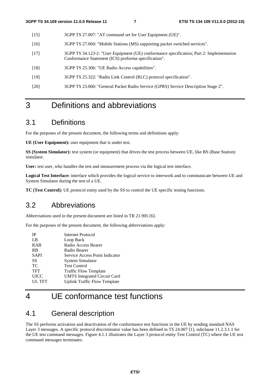- [15] 3GPP TS 27.007: "AT command set for User Equipment (UE)".
- [16] 3GPP TS 27.060: "Mobile Stations (MS) supporting packet switched services".
- [17] 3GPP TS 34.123-2: "User Equipment (UE) conformance specification; Part 2: Implementation Conformance Statement (ICS) proforma specification".
- [18] 3GPP TS 25.306: "UE Radio Access capabilities".
- [19] 3GPP TS 25.322: "Radio Link Control (RLC) protocol specification".
- [20] 3GPP TS 23.060: "General Packet Radio Service (GPRS) Service Description Stage 2".

# 3 Definitions and abbreviations

# 3.1 Definitions

For the purposes of the present document, the following terms and definitions apply:

**UE (User Equipment):** user equipment that is under test.

**SS (System Simulator):** test system (or equipment) that drives the test process between UE, like BS (Base Station) simulator.

**User:** test user, who handles the test and measurement process via the logical test interface.

**Logical Test Interface:** interface which provides the logical service to interwork and to communicate between UE and System Simulator during the test of a UE.

**TC (Test Control):** UE protocol entity used by the SS to control the UE specific testing functions.

# 3.2 Abbreviations

Abbreviations used in the present document are listed in TR 21.905 [6].

For the purposes of the present document, the following abbreviations apply:

| IΡ          | Internet Protocol                   |
|-------------|-------------------------------------|
| LB          | Loop Back                           |
| <b>RAB</b>  | Radio Access Bearer                 |
| <b>RB</b>   | Radio Bearer                        |
| <b>SAPI</b> | Service Access Point Indicator      |
| SS          | System Simulator                    |
| <b>TC</b>   | <b>Test Control</b>                 |
| <b>TFT</b>  | <b>Traffic Flow Template</b>        |
| <b>UICC</b> | <b>UMTS</b> Integrated Circuit Card |
| UL TFT      | <b>Uplink Traffic Flow Template</b> |

# 4 UE conformance test functions

# 4.1 General description

The SS performs activation and deactivation of the conformance test functions in the UE by sending standard NAS Layer 3 messages. A specific protocol discriminator value has been defined in TS 24.007 [1], subclause 11.2.3.1.1 for the UE test command messages. Figure 4.1.1 illustrates the Layer 3 protocol entity Test Control (TC) where the UE test command messages terminates.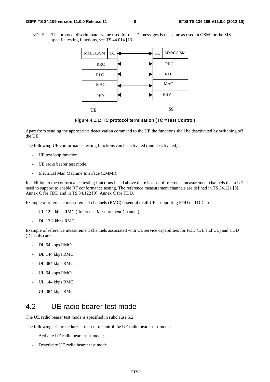#### **3GPP TS 34.109 version 11.0.0 Release 11 8 ETSI TS 134 109 V11.0.0 (2012-10)**

NOTE: The protocol discriminator value used for the TC messages is the same as used in GSM for the MS specific testing functions, see TS 44.014 [13].



**Figure 4.1.1: TC protocol termination (TC =Test Control)** 

Apart from sending the appropriate deactivation command to the UE the functions shall be deactivated by switching off the UE.

The following UE conformance testing functions can be activated (and deactivated):

- UE test loop function;
- UE radio bearer test mode;
- Electrical Man Machine Interface (EMMI).

In addition to the conformance testing functions listed above there is a set of reference measurement channels that a UE need to support to enable RF conformance testing. The reference measurement channels are defined in TS 34.121 [8], Annex C for FDD and in TS 34.122 [9], Annex C for TDD.

Example of reference measurement channels (RMC) essential to all UEs supporting FDD or TDD are:

- UL 12.2 kbps RMC (Reference Measurement Channel);
- DL 12.2 kbps RMC.

Example of reference measurement channels associated with UE service capabilities for FDD (DL and UL) and TDD (DL only) are:

- DL 64 kbps RMC;
- DL 144 kbps RMC;
- DL 384 kbps RMC;
- UL 64 kbps RMC;
- UL 144 kbps RMC;
- UL 384 kbps RMC.

## 4.2 UE radio bearer test mode

The UE radio bearer test mode is specified in subclause 5.2.

The following TC procedures are used to control the UE radio bearer test mode:

- Activate UE radio bearer test mode;
- Deactivate UE radio bearer test mode.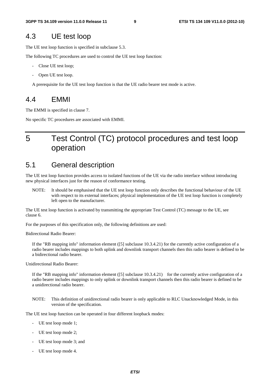### 4.3 UE test loop

The UE test loop function is specified in subclause 5.3.

The following TC procedures are used to control the UE test loop function:

- Close UE test loop;
- Open UE test loop.

A prerequisite for the UE test loop function is that the UE radio bearer test mode is active.

### 4.4 EMMI

The EMMI is specified in clause 7.

No specific TC procedures are associated with EMMI.

# 5 Test Control (TC) protocol procedures and test loop operation

### 5.1 General description

The UE test loop function provides access to isolated functions of the UE via the radio interface without introducing new physical interfaces just for the reason of conformance testing.

NOTE: It should be emphasised that the UE test loop function only describes the functional behaviour of the UE with respect to its external interfaces; physical implementation of the UE test loop function is completely left open to the manufacturer.

The UE test loop function is activated by transmitting the appropriate Test Control (TC) message to the UE, see clause 6.

For the purposes of this specification only, the following definitions are used:

Bidirectional Radio Bearer:

If the "RB mapping info" information element ([5] subclause 10.3.4.21) for the currently active configuration of a radio bearer includes mappings to both uplink and downlink transport channels then this radio bearer is defined to be a bidirectional radio bearer.

Unidirectional Radio Bearer:

If the "RB mapping info" information element  $([5]$  subclause  $[10.3.4.21)$  for the currently active configuration of a radio bearer includes mappings to only uplink or downlink transport channels then this radio bearer is defined to be a unidirectional radio bearer.

NOTE: This definition of unidirectional radio bearer is only applicable to RLC Unacknowledged Mode, in this version of the specification.

The UE test loop function can be operated in four different loopback modes:

- UE test loop mode 1;
- UE test loop mode 2;
- UE test loop mode 3; and
- UE test loop mode 4.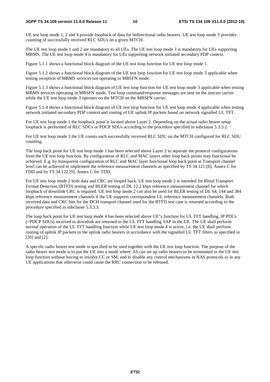UE test loop mode 1, 2 and 4 provide loopback of data for bidirectional radio bearers. UE test loop mode 3 provides counting of successfully received RLC SDUs on a given MTCH.

The UE test loop mode 1 and 2 are mandatory to all UEs. The UE test loop mode 3 is mandatory for UEs supporting MBMS. The UE test loop mode 4 is mandatory for UEs supporting network initiated secondary PDP context.

Figure 5.1.1 shows a functional block diagram of the UE test loop function for UE test loop mode 1.

Figure 5.1.2 shows a functional block diagram of the UE test loop function for UE test loop mode 3 applicable when testing reception of MBMS services not operating in MBSFN mode.

Figure 5.1.3 shows a functional block diagram of UE test loop function for UE test loop mode 3 applicable when testing MBMS services operating in MBSFN mode. Test loop command/response messages are sent on the unicast carrier while the UE test loop mode 3 operates on the MTCH on the MBSFN carrier.

Figure 5.1.4 shows a functional block diagram of UE test loop function for UE test loop mode 4 applicable when testing network initiated secondary PDP context and routing of UE uplink IP packets based on network signalled UL TFT.

For UE test loop mode 1 the loopback point is located above Layer 2. Depending on the actual radio bearer setup loopback is performed of RLC SDUs or PDCP SDUs according to the procedure specified in subclause 5.3.3.2.

For UE test loop mode 3 the UE counts each successfully received RLC SDU on the MTCH configured for RLC SDU counting.

The loop back point for UE test loop mode 1 has been selected above Layer 2 to separate the protocol configurations from the UE test loop function. By configuration of RLC and MAC layers other loop back points may functional be achieved. E.g. by transparent configuration of RLC and MAC layer functional loop back point at Transport channel level can be achieved to implement the reference measurement channels as specified by TS 34.121 [8], Annex C for FDD and by TS 34.122 [9], Annex C for TDD.

For UE test loop mode 2 both data and CRC are looped back. UE test loop mode 2 is intended for Blind Transport Format Detection (BTFD) testing and BLER testing of DL 12.2 kbps reference measurement channel for which loopback of downlink CRC is required. UE test loop mode 2 can also be used for BLER testing of DL 64, 144 and 384 kbps reference measurement channels if the UE supports correspondent UL reference measurement channels. Both received data and CRC bits for the DCH transport channel used for the BTFD test case is returned according to the procedure specified in subclause 5.3.3.3.

The loop back point for UE test loop mode 4 has been selected above UE"s function for UL TFT handling. IP PDUs (=PDCP SDUs) received in downlink are returned to the UL TFT handling SAP in the UE. The UE shall perform normal operation of the UL TFT handling function while UE test loop mode 4 is active, i.e. the UE shall perform routing of uplink IP packets to the uplink radio bearers in accordance with the signalled UL TFT filters as specified in [20] and [2].

A specific radio bearer test mode is specified to be used together with the UE test loop function. The purpose of the radio bearer test mode is to put the UE into a mode where: SS can set up radio bearers to be terminated in the UE test loop function without having to involve CC or SM; and to disable any control mechanisms in NAS protocols or in any UE applications that otherwise could cause the RRC connection to be released.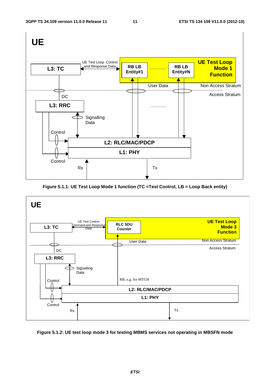

**Figure 5.1.1: UE Test Loop Mode 1 function (TC =Test Control, LB = Loop Back entity)** 



**Figure 5.1.2: UE test loop mode 3 for testing MBMS services not operating in MBSFN mode** 

*ETSI*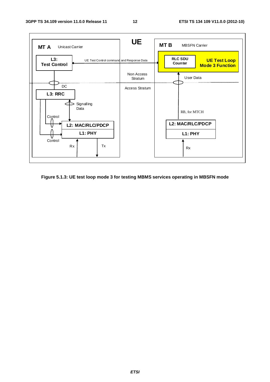

**Figure 5.1.3: UE test loop mode 3 for testing MBMS services operating in MBSFN mode**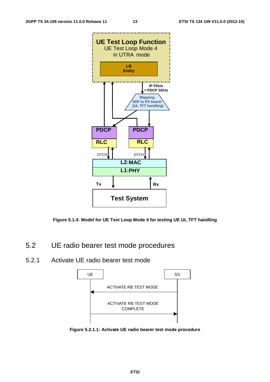



- 5.2 UE radio bearer test mode procedures
- 5.2.1 Activate UE radio bearer test mode



**Figure 5.2.1.1: Activate UE radio bearer test mode procedure**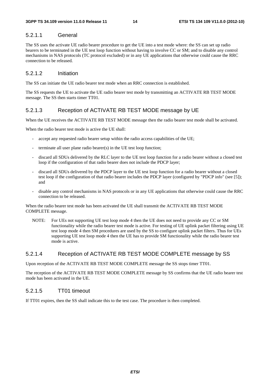### 5.2.1.1 General

The SS uses the activate UE radio bearer procedure to get the UE into a test mode where: the SS can set up radio bearers to be terminated in the UE test loop function without having to involve CC or SM; and to disable any control mechanisms in NAS protocols (TC protocol excluded) or in any UE applications that otherwise could cause the RRC connection to be released.

### 5.2.1.2 Initiation

The SS can initiate the UE radio bearer test mode when an RRC connection is established.

The SS requests the UE to activate the UE radio bearer test mode by transmitting an ACTIVATE RB TEST MODE message. The SS then starts timer TT01.

### 5.2.1.3 Reception of ACTIVATE RB TEST MODE message by UE

When the UE receives the ACTIVATE RB TEST MODE message then the radio bearer test mode shall be activated.

When the radio bearer test mode is active the UE shall:

- accept any requested radio bearer setup within the radio access capabilities of the UE;
- terminate all user plane radio bearer(s) in the UE test loop function;
- discard all SDUs delivered by the RLC layer to the UE test loop function for a radio bearer without a closed test loop if the configuration of that radio bearer does not include the PDCP layer;
- discard all SDUs delivered by the PDCP layer to the UE test loop function for a radio bearer without a closed test loop if the configuration of that radio bearer includes the PDCP layer (configured by "PDCP info" (see [5]); and
- disable any control mechanisms in NAS protocols or in any UE applications that otherwise could cause the RRC connection to be released.

When the radio bearer test mode has been activated the UE shall transmit the ACTIVATE RB TEST MODE COMPLETE message.

NOTE: For UEs not supporting UE test loop mode 4 then the UE does not need to provide any CC or SM functionality while the radio bearer test mode is active. For testing of UE uplink packet filtering using UE test loop mode 4 then SM procedures are used by the SS to configure uplink packet filters. Thus for UEs supporting UE test loop mode 4 then the UE has to provide SM functionality while the radio bearer test mode is active.

### 5.2.1.4 Reception of ACTIVATE RB TEST MODE COMPLETE message by SS

Upon reception of the ACTIVATE RB TEST MODE COMPLETE message the SS stops timer TT01.

The reception of the ACTIVATE RB TEST MODE COMPLETE message by SS confirms that the UE radio bearer test mode has been activated in the UE.

### 5.2.1.5 TT01 timeout

If TT01 expires, then the SS shall indicate this to the test case. The procedure is then completed.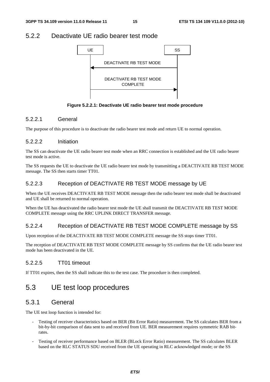### 5.2.2 Deactivate UE radio bearer test mode



**Figure 5.2.2.1: Deactivate UE radio bearer test mode procedure** 

### 5.2.2.1 General

The purpose of this procedure is to deactivate the radio bearer test mode and return UE to normal operation.

### 5.2.2.2 Initiation

The SS can deactivate the UE radio bearer test mode when an RRC connection is established and the UE radio bearer test mode is active.

The SS requests the UE to deactivate the UE radio bearer test mode by transmitting a DEACTIVATE RB TEST MODE message. The SS then starts timer TT01.

### 5.2.2.3 Reception of DEACTIVATE RB TEST MODE message by UE

When the UE receives DEACTIVATE RB TEST MODE message then the radio bearer test mode shall be deactivated and UE shall be returned to normal operation.

When the UE has deactivated the radio bearer test mode the UE shall transmit the DEACTIVATE RB TEST MODE COMPLETE message using the RRC UPLINK DIRECT TRANSFER message.

### 5.2.2.4 Reception of DEACTIVATE RB TEST MODE COMPLETE message by SS

Upon reception of the DEACTIVATE RB TEST MODE COMPLETE message the SS stops timer TT01.

The reception of DEACTIVATE RB TEST MODE COMPLETE message by SS confirms that the UE radio bearer test mode has been deactivated in the UE.

### 5.2.2.5 TT01 timeout

If TT01 expires, then the SS shall indicate this to the test case. The procedure is then completed.

# 5.3 UE test loop procedures

### 5.3.1 General

The UE test loop function is intended for:

- Testing of receiver characteristics based on BER (Bit Error Ratio) measurement. The SS calculates BER from a bit-by-bit comparison of data sent to and received from UE. BER measurement requires symmetric RAB bitrates.
- Testing of receiver performance based on BLER (BLock Error Ratio) measurement. The SS calculates BLER based on the RLC STATUS SDU received from the UE operating in RLC acknowledged mode; or the SS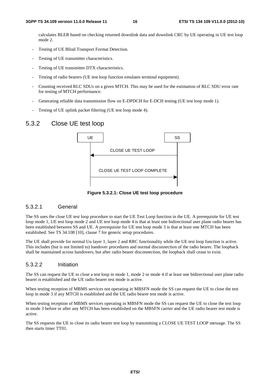calculates BLER based on checking returned downlink data and downlink CRC by UE operating in UE test loop mode 2.

- Testing of UE Blind Transport Format Detection.
- Testing of UE transmitter characteristics.
- Testing of UE transmitter DTX characteristics.
- Testing of radio bearers (UE test loop function emulates terminal equipment).
- Counting received RLC SDUs on a given MTCH. This may be used for the estimation of RLC SDU error rate for testing of MTCH performance.
- Generating reliable data transmission flow on E-DPDCH for E-DCH testing (UE test loop mode 1).
- Testing of UE uplink packet filtering (UE test loop mode 4).

### 5.3.2 Close UE test loop



**Figure 5.3.2.1: Close UE test loop procedure** 

### 5.3.2.1 General

The SS uses the close UE test loop procedure to start the UE Test Loop function in the UE. A prerequisite for UE test loop mode 1, UE test loop mode 2 and UE test loop mode 4 is that at least one bidirectional user plane radio bearer has been established between SS and UE. A prerequisite for UE test loop mode 3 is that at least one MTCH has been established. See TS 34.108 [10], clause 7 for generic setup procedures.

The UE shall provide for normal Uu layer 1, layer 2 and RRC functionality while the UE test loop function is active. This includes (but is not limited to) handover procedures and normal disconnection of the radio bearer. The loopback shall be maintained across handovers, but after radio bearer disconnection, the loopback shall cease to exist.

#### 5.3.2.2 Initiation

The SS can request the UE to close a test loop in mode 1, mode 2 or mode 4 if at least one bidirectional user plane radio bearer is established and the UE radio bearer test mode is active.

When testing reception of MBMS services not operating in MBSFN mode the SS can request the UE to close the test loop in mode 3 if any MTCH is established and the UE radio bearer test mode is active.

When testing reception of MBMS services operating in MBSFN mode the SS can request the UE to close the test loop in mode 3 before or after any MTCH has been established on the MBSFN carrier and the UE radio bearer test mode is active.

The SS requests the UE to close its radio bearer test loop by transmitting a CLOSE UE TEST LOOP message. The SS then starts timer TT01.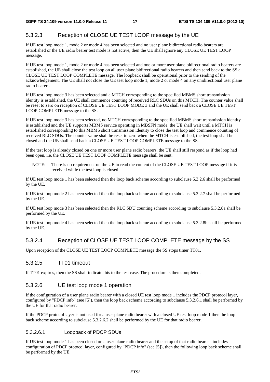### 5.3.2.3 Reception of CLOSE UE TEST LOOP message by the UE

If UE test loop mode 1, mode 2 or mode 4 has been selected and no user plane bidirectional radio bearers are established or the UE radio bearer test mode is not active, then the UE shall ignore any CLOSE UE TEST LOOP message.

If UE test loop mode 1, mode 2 or mode 4 has been selected and one or more user plane bidirectional radio bearers are established, the UE shall close the test loop on all user plane bidirectional radio bearers and then send back to the SS a CLOSE UE TEST LOOP COMPLETE message. The loopback shall be operational prior to the sending of the acknowledgement. The UE shall not close the UE test loop mode 1, mode 2 or mode 4 on any unidirectional user plane radio bearers.

If UE test loop mode 3 has been selected and a MTCH corresponding to the specified MBMS short transmission identity is established, the UE shall commence counting of received RLC SDUs on this MTCH. The counter value shall be reset to zero on reception of CLOSE UE TEST LOOP MODE 3 and the UE shall send back a CLOSE UE TEST LOOP COMPLETE message to the SS.

If UE test loop mode 3 has been selected, no MTCH corresponding to the specified MBMS short transmission identity is established and the UE supports MBMS service operating in MBSFN mode, the UE shall wait until a MTCH is established corresponding to this MBMS short transmission identity to close the test loop and commence counting of received RLC SDUs. The counter value shall be reset to zero when the MTCH is established, the test loop shall be closed and the UE shall send back a CLOSE UE TEST LOOP COMPLETE message to the SS.

If the test loop is already closed on one or more user plane radio bearers, the UE shall still respond as if the loop had been open, i.e. the CLOSE UE TEST LOOP COMPLETE message shall be sent.

NOTE: There is no requirement on the UE to read the content of the CLOSE UE TEST LOOP message if it is received while the test loop is closed.

If UE test loop mode 1 has been selected then the loop back scheme according to subclause 5.3.2.6 shall be performed by the UE.

If UE test loop mode 2 has been selected then the loop back scheme according to subclause 5.3.2.7 shall be performed by the UE.

If UE test loop mode 3 has been selected then the RLC SDU counting scheme according to subclause 5.3.2.8a shall be performed by the UE.

If UE test loop mode 4 has been selected then the loop back scheme according to subclause 5.3.2.8b shall be performed by the UE.

### 5.3.2.4 Reception of CLOSE UE TEST LOOP COMPLETE message by the SS

Upon reception of the CLOSE UE TEST LOOP COMPLETE message the SS stops timer TT01.

#### 5.3.2.5 TT01 timeout

If TT01 expires, then the SS shall indicate this to the test case. The procedure is then completed.

#### 5.3.2.6 UE test loop mode 1 operation

If the configuration of a user plane radio bearer with a closed UE test loop mode 1 includes the PDCP protocol layer, configured by "PDCP info" (see [5]), then the loop back scheme according to subclause 5.3.2.6.1 shall be performed by the UE for that radio bearer.

If the PDCP protocol layer is not used for a user plane radio bearer with a closed UE test loop mode 1 then the loop back scheme according to subclause 5.3.2.6.2 shall be performed by the UE for that radio bearer.

#### 5.3.2.6.1 Loopback of PDCP SDUs

If UE test loop mode 1 has been closed on a user plane radio bearer and the setup of that radio bearer includes configuration of PDCP protocol layer, configured by "PDCP info" (see [5]), then the following loop back scheme shall be performed by the UE.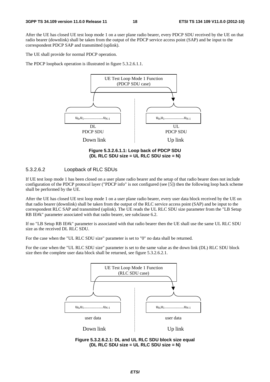After the UE has closed UE test loop mode 1 on a user plane radio bearer, every PDCP SDU received by the UE on that radio bearer (downlink) shall be taken from the output of the PDCP service access point (SAP) and be input to the correspondent PDCP SAP and transmitted (uplink).

The UE shall provide for normal PDCP operation.

The PDCP loopback operation is illustrated in figure 5.3.2.6.1.1.



**(DL RLC SDU size = UL RLC SDU size = N)** 

#### 5.3.2.6.2 Loopback of RLC SDUs

If UE test loop mode 1 has been closed on a user plane radio bearer and the setup of that radio bearer does not include configuration of the PDCP protocol layer ("PDCP info" is not configured (see [5]) then the following loop back scheme shall be performed by the UE.

After the UE has closed UE test loop mode 1 on a user plane radio bearer, every user data block received by the UE on that radio bearer (downlink) shall be taken from the output of the RLC service access point (SAP) and be input to the correspondent RLC SAP and transmitted (uplink). The UE reads the UL RLC SDU size parameter from the "LB Setup RB IE#k" parameter associated with that radio bearer, see subclause 6.2.

If no "LB Setup RB IE#k" parameter is associated with that radio bearer then the UE shall use the same UL RLC SDU size as the received DL RLC SDU.

For the case when the "UL RLC SDU size" parameter is set to "0" no data shall be returned.

For the case when the "UL RLC SDU size" parameter is set to the same value as the down link (DL) RLC SDU block size then the complete user data block shall be returned, see figure 5.3.2.6.2.1.



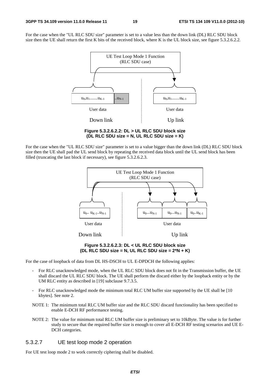For the case when the "UL RLC SDU size" parameter is set to a value less than the down link (DL) RLC SDU block size then the UE shall return the first K bits of the received block, where K is the UL block size, see figure 5.3.2.6.2.2.



**Figure 5.3.2.6.2.2: DL > UL RLC SDU block size (DL RLC SDU size = N, UL RLC SDU size = K)** 

For the case when the "UL RLC SDU size" parameter is set to a value bigger than the down link (DL) RLC SDU block size then the UE shall pad the UL send block by repeating the received data block until the UL send block has been filled (truncating the last block if necessary), see figure 5.3.2.6.2.3.



**Figure 5.3.2.6.2.3: DL < UL RLC SDU block size (DL RLC SDU size = N, UL RLC SDU size = 2\*N + K)** 

For the case of loopback of data from DL HS-DSCH to UL E-DPDCH the following applies:

- For RLC unacknowledged mode, when the UL RLC SDU block does not fit in the Transmission buffer, the UE shall discard the UL RLC SDU block. The UE shall perform the discard either by the loopback entity or by the UM RLC entity as described in [19] subclause 9.7.3.5.
- For RLC unacknowledged mode the minimum total RLC UM buffer size supported by the UE shall be [10] kbytes]. See note 2.
- NOTE 1: The minimum total RLC UM buffer size and the RLC SDU discard functionality has been specified to enable E-DCH RF performance testing.
- NOTE 2: The value for minimum total RLC UM buffer size is preliminary set to 10kByte. The value is for further study to secure that the required buffer size is enough to cover all E-DCH RF testing scenarios and UE E-DCH categories.

#### 5.3.2.7 UE test loop mode 2 operation

For UE test loop mode 2 to work correctly ciphering shall be disabled.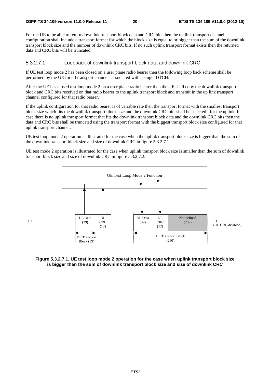$I<sub>1</sub>$ 

For the UE to be able to return downlink transport block data and CRC bits then the up link transport channel configuration shall include a transport format for which the block size is equal to or bigger than the sum of the downlink transport block size and the number of downlink CRC bits. If no such uplink transport format exists then the returned data and CRC bits will be truncated.

#### 5.3.2.7.1 Loopback of downlink transport block data and downlink CRC

If UE test loop mode 2 has been closed on a user plane radio bearer then the following loop back scheme shall be performed by the UE for all transport channels associated with a single DTCH:

After the UE has closed test loop mode 2 on a user plane radio bearer then the UE shall copy the downlink transport block and CRC bits received on that radio bearer to the uplink transport block and transmit in the up link transport channel configured for that radio bearer.

If the uplink configuration for that radio bearer is of variable rate then the transport format with the smallest transport block size which fits the downlink transport block size and the downlink CRC bits shall be selected for the uplink. In case there is no uplink transport format that fits the downlink transport block data and the downlink CRC bits then the data and CRC bits shall be truncated using the transport format with the biggest transport block size configured for that uplink transport channel.

UE test loop mode 2 operation is illustrated for the case when the uplink transport block size is bigger than the sum of the downlink transport block size and size of downlink CRC in figure 5.3.2.7.1.

UE test mode 2 operation is illustrated for the case when uplink transport block size is smaller than the sum of downlink transport block size and size of downlink CRC in figure 5.3.2.7.2.



**Figure 5.3.2.7.1. UE test loop mode 2 operation for the case when uplink transport block size is bigger than the sum of downlink transport block size and size of downlink CRC**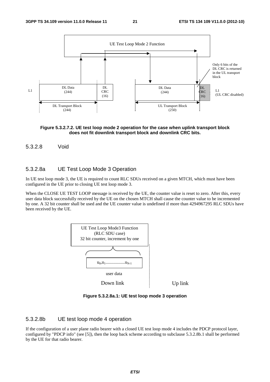

#### **Figure 5.3.2.7.2. UE test loop mode 2 operation for the case when uplink transport block does not fit downlink transport block and downlink CRC bits.**

#### 5.3.2.8 Void

#### 5.3.2.8a UE Test Loop Mode 3 Operation

In UE test loop mode 3, the UE is required to count RLC SDUs received on a given MTCH, which must have been configured in the UE prior to closing UE test loop mode 3.

When the CLOSE UE TEST LOOP message is received by the UE, the counter value is reset to zero. After this, every user data block successfully received by the UE on the chosen MTCH shall cause the counter value to be incremented by one. A 32 bit counter shall be used and the UE counter value is undefined if more than 4294967295 RLC SDUs have been received by the UE.



**Figure 5.3.2.8a.1: UE test loop mode 3 operation** 

#### 5.3.2.8b UE test loop mode 4 operation

If the configuration of a user plane radio bearer with a closed UE test loop mode 4 includes the PDCP protocol layer, configured by "PDCP info" (see [5]), then the loop back scheme according to subclause 5.3.2.8b.1 shall be performed by the UE for that radio bearer.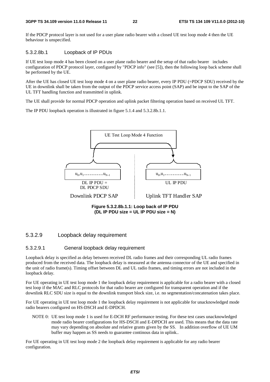If the PDCP protocol layer is not used for a user plane radio bearer with a closed UE test loop mode 4 then the UE behaviour is unspecified.

#### 5.3.2.8b.1 Loopback of IP PDUs

If UE test loop mode 4 has been closed on a user plane radio bearer and the setup of that radio bearer includes configuration of PDCP protocol layer, configured by "PDCP info" (see [5]), then the following loop back scheme shall be performed by the UE.

After the UE has closed UE test loop mode 4 on a user plane radio bearer, every IP PDU (=PDCP SDU) received by the UE in downlink shall be taken from the output of the PDCP service access point (SAP) and be input to the SAP of the UL TFT handling function and transmitted in uplink.

The UE shall provide for normal PDCP operation and uplink packet filtering operation based on received UL TFT.

The IP PDU loopback operation is illustrated in figure 5.1.4 and 5.3.2.8b.1.1.



**Figure 5.3.2.8b.1.1: Loop back of IP PDU (DL IP PDU size = UL IP PDU size = N)** 

#### 5.3.2.9 Loopback delay requirement

#### 5.3.2.9.1 General loopback delay requirement

Loopback delay is specified as delay between received DL radio frames and their corresponding UL radio frames produced from the received data. The loopback delay is measured at the antenna connector of the UE and specified in the unit of radio frame(s). Timing offset between DL and UL radio frames, and timing errors are not included in the loopback delay.

For UE operating in UE test loop mode 1 the loopback delay requirement is applicable for a radio bearer with a closed test loop if the MAC and RLC protocols for that radio bearer are configured for transparent operation and if the downlink RLC SDU size is equal to the downlink transport block size, i.e. no segmentation/concatenation takes place.

For UE operating in UE test loop mode 1 the loopback delay requirement is not applicable for unacknowledged mode radio bearers configured on HS-DSCH and E-DPDCH.

NOTE 0: UE test loop mode 1 is used for E-DCH RF performance testing. For these test cases unacknowledged mode radio bearer configurations for HS-DSCH and E-DPDCH are used. This means that the data rate may vary depending on absolute and relative grants given by the SS. In addition overflow of UE UM buffer may happen as SS needs to guarantee continous data in uplink..

For UE operating in UE test loop mode 2 the loopback delay requirement is applicable for any radio bearer configuration.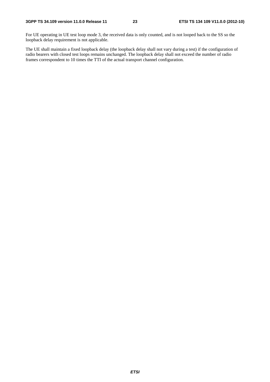For UE operating in UE test loop mode 3, the received data is only counted, and is not looped back to the SS so the loopback delay requirement is not applicable.

The UE shall maintain a fixed loopback delay (the loopback delay shall not vary during a test) if the configuration of radio bearers with closed test loops remains unchanged. The loopback delay shall not exceed the number of radio frames correspondent to 10 times the TTI of the actual transport channel configuration.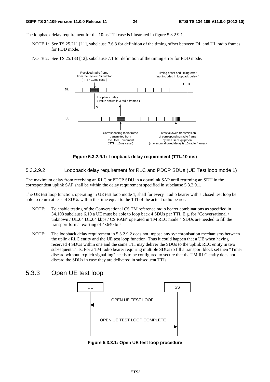The loopback delay requirement for the 10ms TTI case is illustrated in figure 5.3.2.9.1.

- NOTE 1: See TS 25.211 [11], subclause 7.6.3 for definition of the timing offset between DL and UL radio frames for FDD mode.
- NOTE 2: See TS 25.133 [12], subclause 7.1 for definition of the timing error for FDD mode.



**Figure 5.3.2.9.1: Loopback delay requirement (TTI=10 ms)** 

5.3.2.9.2 Loopback delay requirement for RLC and PDCP SDUs (UE Test loop mode 1)

The maximum delay from receiving an RLC or PDCP SDU in a downlink SAP until returning an SDU in the correspondent uplink SAP shall be within the delay requirement specified in subclause 5.3.2.9.1.

The UE test loop function, operating in UE test loop mode 1, shall for every radio bearer with a closed test loop be able to return at least 4 SDUs within the time equal to the TTI of the actual radio bearer.

- NOTE: To enable testing of the Conversational CS TM reference radio bearer combinations as specified in 34.108 subclause 6.10 a UE must be able to loop back 4 SDUs per TTI. E.g. for "Conversational / unknown / UL:64 DL:64 kbps / CS RAB" operated in TM RLC mode 4 SDUs are needed to fill the transport format existing of 4x640 bits.
- NOTE: The loopback delay requirement in 5.3.2.9.2 does not impose any synchronisation mechanisms between the uplink RLC entity and the UE test loop function. Thus it could happen that a UE when having received 4 SDUs within one and the same TTI may deliver the SDUs to the uplink RLC entity in two subsequent TTIs. For a TM radio bearer requiring multiple SDUs to fill a transport block set then "Timer discard without explicit signalling" needs to be configured to secure that the TM RLC entity does not discard the SDUs in case they are delivered in subsequent TTIs.

### 5.3.3 Open UE test loop



**Figure 5.3.3.1: Open UE test loop procedure**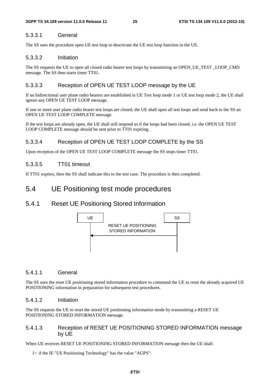### 5.3.3.1 General

The SS uses the procedure open UE test loop to deactivate the UE test loop function in the UE.

#### 5.3.3.2 Initiation

The SS requests the UE to open all closed radio bearer test loops by transmitting an OPEN\_UE\_TEST \_LOOP\_CMD message. The SS then starts timer TT01.

### 5.3.3.3 Reception of OPEN UE TEST LOOP message by the UE

If no bidirectional user plane radio bearers are established in UE Test loop mode 1 or UE test loop mode 2, the UE shall ignore any OPEN UE TEST LOOP message.

If one or more user plane radio bearer test loops are closed, the UE shall open all test loops and send back to the SS an OPEN UE TEST LOOP COMPLETE message.

If the test loops are already open, the UE shall still respond as if the loops had been closed, i.e. the OPEN UE TEST LOOP COMPLETE message should be sent prior to TT01 expiring.

### 5.3.3.4 Reception of OPEN UE TEST LOOP COMPLETE by the SS

Upon reception of the OPEN UE TEST LOOP COMPLETE message the SS stops timer TT01.

### 5.3.3.5 TT01 timeout

If TT01 expires, then the SS shall indicate this to the test case. The procedure is then completed.

## 5.4 UE Positioning test mode procedures

### 5.4.1 Reset UE Positioning Stored Information



#### 5.4.1.1 General

The SS uses the reset UE positioning stored information procedure to command the UE to reset the already acquired UE POSITIONING information in preparation for subsequent test procedures.

#### 5.4.1.2 Initiation

The SS requests the UE to reset the stored UE positioning information mode by transmitting a RESET UE POSITIONING STORED INFORMATION message.

### 5.4.1.3 Reception of RESET UE POSITIONING STORED INFORMATION message by UE

When UE receives RESET UE POSITIONING STORED INFORMATION message then the UE shall:

1> if the IE "UE Positioning Technology" has the value "AGPS":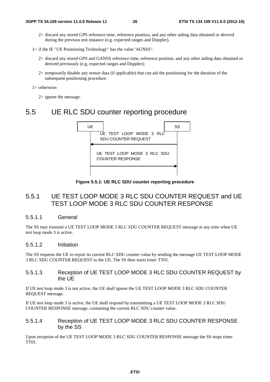- 2> discard any stored GPS reference time, reference position, and any other aiding data obtained or derived during the previous test instance (e.g. expected ranges and Doppler).
- 1> if the IE "UE Positioning Technology" has the value 'AGNSS':
	- 2> discard any stored GPS and GANSS reference time, reference position, and any other aiding data obtained or derived previously (e.g. expected ranges and Doppler);
	- 2> temporarily disable any sensor data (if applicable) that can aid the positioning for the duration of the subsequent positioning procedure.
- 1> otherwise:

2> ignore the message.

## 5.5 UE RLC SDU counter reporting procedure



**Figure 5.5.1: UE RLC SDU counter reporting procedure** 

### 5.5.1 UE TEST LOOP MODE 3 RLC SDU COUNTER REQUEST and UE TEST LOOP MODE 3 RLC SDU COUNTER RESPONSE

#### 5.5.1.1 General

The SS may transmit a UE TEST LOOP MODE 3 RLC SDU COUNTER REQUEST message at any time when UE test loop mode 3 is active.

#### 5.5.1.2 Initiation

The SS requests the UE to report its current RLC SDU counter value by sending the message UE TEST LOOP MODE 3 RLC SDU COUNTER REQUEST to the UE. The SS then starts timer TT01.

#### 5.5.1.3 Reception of UE TEST LOOP MODE 3 RLC SDU COUNTER REQUEST by the UE

If UE test loop mode 3 is not active, the UE shall ignore the UE TEST LOOP MODE 3 RLC SDU COUNTER REQUEST message.

If UE test loop mode 3 is active, the UE shall respond by transmitting a UE TEST LOOP MODE 3 RLC SDU COUNTER RESPONSE message, containing the current RLC SDU counter value.

#### 5.5.1.4 Reception of UE TEST LOOP MODE 3 RLC SDU COUNTER RESPONSE by the SS

Upon reception of the UE TEST LOOP MODE 3 RLC SDU COUNTER RESPONSE message the SS stops timer TT01.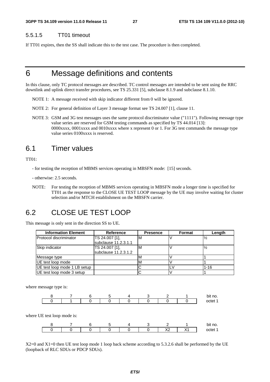#### 5.5.1.5 TT01 timeout

If TT01 expires, then the SS shall indicate this to the test case. The procedure is then completed.

# 6 Message definitions and contents

In this clause, only TC protocol messages are described. TC control messages are intended to be sent using the RRC downlink and uplink direct transfer procedures, see TS 25.331 [5], subclause 8.1.9 and subclause 8.1.10.

- NOTE 1: A message received with skip indicator different from 0 will be ignored.
- NOTE 2: For general definition of Layer 3 message format see TS 24.007 [1], clause 11.
- NOTE 3: GSM and 3G test messages uses the same protocol discriminator value ("1111"). Following message type value series are reserved for GSM testing commands as specified by TS 44.014 [13]: 0000xxxx, 0001xxxx and 0010xxxx where x represent 0 or 1. For 3G test commands the message type value series 0100xxxx is reserved.

# 6.1 Timer values

TT01:

- for testing the reception of MBMS services operating in MBSFN mode: [15] seconds.

- otherwise: 2.5 seconds.

NOTE: For testing the reception of MBMS services operating in MBSFN mode a longer time is specified for TT01 as the response to the CLOSE UE TEST LOOP message by the UE may involve waiting for cluster selection and/or MTCH establishment on the MBSFN carrier.

# 6.2 CLOSE UE TEST LOOP

This message is only sent in the direction SS to UE.

| <b>Information Element</b>    | <b>Reference</b>                       | <b>Presence</b> | Format | Length   |
|-------------------------------|----------------------------------------|-----------------|--------|----------|
| <b>Protocol discriminator</b> | TS 24.007 [1].<br>subclause 11.2.3.1.1 | M               |        |          |
| Skip indicator                | TS 24.007 [1],<br>subclause 11.2.3.1.2 | M               |        |          |
| Message type                  |                                        |                 |        |          |
| UE test loop mode             |                                        | ΙVΙ             |        |          |
| UE test loop mode 1 LB setup  |                                        |                 |        | $1 - 16$ |
| UE test loop mode 3 setup     |                                        |                 |        |          |

where message type is:



where UE test loop mode is:



X2=0 and X1=0 then UE test loop mode 1 loop back scheme according to 5.3.2.6 shall be performed by the UE (loopback of RLC SDUs or PDCP SDUs).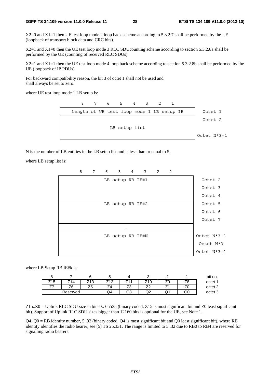X2=0 and X1=1 then UE test loop mode 2 loop back scheme according to 5.3.2.7 shall be performed by the UE (loopback of transport block data and CRC bits).

X2=1 and X1=0 then the UE test loop mode 3 RLC SDUcounting scheme according to section 5.3.2.8a shall be performed by the UE (counting of received RLC SDUs).

X2=1 and X1=1 then the UE test loop mode 4 loop back scheme according to section 5.3.2.8b shall be performed by the UE (loopback of IP PDUs).

For backward compatibility reason, the bit 3 of octet 1 shall not be used and shall always be set to zero.

where UE test loop mode 1 LB setup is:

 8 7 6 5 4 3 2 1 Length of UE test loop mode 1 LB setup IE | Octet 1 LB setup list Octet 2 Octet N\*3+1

N is the number of LB entities in the LB setup list and is less than or equal to 5.

where LB setup list is:



where LB Setup RB IE#k is:

|          |           |                 |          |     |     |   |    | bit no.            |
|----------|-----------|-----------------|----------|-----|-----|---|----|--------------------|
| Б<br>J   | $\Lambda$ | $\sqrt{2}$<br>J | ╭<br>74. | . - | 10: |   |    | octet 1            |
| <u>.</u> |           | ںے              | - س      | ںے  | ▃▵  |   |    | octet <sub>2</sub> |
|          | Reserved  |                 | Q4       | ں ی | ◡   | w | QU | octet 3            |

Z15..Z0 = Uplink RLC SDU size in bits 0.. 65535 (binary coded, Z15 is most significant bit and Z0 least significant bit). Support of Uplink RLC SDU sizes bigger than 12160 bits is optional for the UE, see Note 1.

 $Q4. Q0 = RB$  identity number, 5..32 (binary coded,  $Q4$  is most significant bit and  $Q0$  least significant bit), where RB identity identifies the radio bearer, see [5] TS 25.331. The range is limited to 5..32 due to RB0 to RB4 are reserved for signalling radio bearers.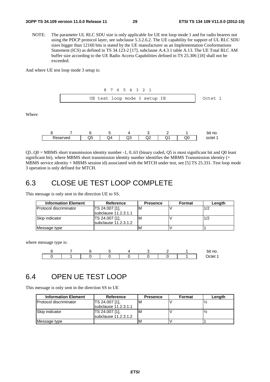NOTE: The parameter UL RLC SDU size is only applicable for UE test loop mode 1 and for radio bearers not using the PDCP protocol layer, see subclause 5.3.2.6.2. The UE capability for support of UL RLC SDU sizes bigger than 12160 bits is stated by the UE manufacturer as an Implementation Conformations Statement (ICS) as defined in TS 34.123-2 [17], subclause A.4.3.1 table A.13. The UE Total RLC AM buffer size according to the UE Radio Access Capabilities defined in TS 25.306 [18] shall not be exceeded.

And where UE test loop mode 3 setup is:

Where



|         |   |     |          |     |                      |                  | bit<br>no. |
|---------|---|-----|----------|-----|----------------------|------------------|------------|
| eserved | ∾ | .)4 | `<br>سرت | ےیں | $\ddot{\phantom{1}}$ | $\lambda$<br>ساب |            |

Q5..Q0 = MBMS short transmission identity number -1, 0..63 (binary coded, Q5 is most significant bit and Q0 least significant bit), where MBMS short transmission identity number identifies the MBMS Transmission identity (= MBMS service identity + MBMS session id) associated with the MTCH under test, see [5] TS 25.331. Test loop mode 3 operation is only defined for MTCH.

# 6.3 CLOSE UE TEST LOOP COMPLETE

This message is only sent in the direction UE to SS.

| <b>Information Element</b> | <b>Reference</b>       | <b>Presence</b> | Format | Length |
|----------------------------|------------------------|-----------------|--------|--------|
| Protocol discriminator     | TS 24.007 [1],         | M               |        | 1/2    |
|                            | subclause 11.2.3.1.1   |                 |        |        |
| <b>Skip indicator</b>      | TS 24.007 [1],         | ιM              |        | 1/2    |
|                            | subclause $11.2.3.1.2$ |                 |        |        |
| Message type               |                        | M               |        |        |

where message type is:



# 6.4 OPEN UE TEST LOOP

This message is only sent in the direction SS to UE

| <b>Information Element</b>     | Reference              | <b>Presence</b> | Format | Length |
|--------------------------------|------------------------|-----------------|--------|--------|
| <b>IProtocol discriminator</b> | TS 24.007 [1],         | ιM              |        |        |
|                                | subclause 11.2.3.1.1   |                 |        |        |
| Skip indicator                 | TS 24.007 [1],         | ιM              |        |        |
|                                | subclause $11.2.3.1.2$ |                 |        |        |
| Message type                   |                        | ΙM              |        |        |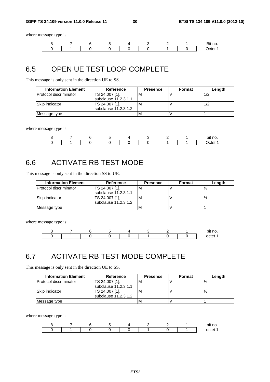where message type is:



# 6.5 OPEN UE TEST LOOP COMPLETE

This message is only sent in the direction UE to SS.

| <b>Information Element</b>    | Reference              | <b>Presence</b> | Format | Length |
|-------------------------------|------------------------|-----------------|--------|--------|
| <b>Protocol discriminator</b> | TS 24.007 [1].         |                 |        | 1/2    |
|                               | subclause $11.2.3.1.1$ |                 |        |        |
| Skip indicator                | TS 24.007 [1],         | ΙM              |        | 1/2    |
|                               | subclause 11.2.3.1.2   |                 |        |        |
| Message type                  |                        |                 |        |        |

where message type is:

|  |  |  |  | bit no.             |
|--|--|--|--|---------------------|
|  |  |  |  | ∩ctr<br>тдт<br>---- |

# 6.6 ACTIVATE RB TEST MODE

This message is only sent in the direction SS to UE.

| <b>Information Element</b>    | Reference                    | <b>Presence</b> | Format | Length |
|-------------------------------|------------------------------|-----------------|--------|--------|
| <b>Protocol discriminator</b> | TS 24.007 [1].               | ιM              |        |        |
|                               | subclause $11.2.3.1.1$       |                 |        |        |
| Skip indicator                | TS 24.007 [1],               | ιм              |        |        |
|                               | <b>Isubclause 11.2.3.1.2</b> |                 |        |        |
| Message type                  |                              | ΙM              |        |        |

where message type is:



# 6.7 ACTIVATE RB TEST MODE COMPLETE

This message is only sent in the direction UE to SS.

| <b>Information Element</b>     | Reference              | <b>Presence</b> | Format | Length |
|--------------------------------|------------------------|-----------------|--------|--------|
| <b>IProtocol discriminator</b> | TS 24.007 [1],         | ιM              |        |        |
|                                | subclause 11.2.3.1.1   |                 |        |        |
| Skip indicator                 | TS 24.007 [1],         | M               |        |        |
|                                | subclause $11.2.3.1.2$ |                 |        |        |
| Message type                   |                        | M               |        |        |

where message type is:

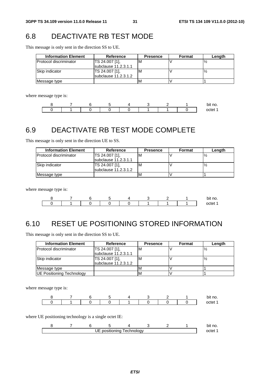# 6.8 DEACTIVATE RB TEST MODE

This message is only sent in the direction SS to UE.

| <b>Information Element</b>    | Reference            | <b>Presence</b> | Format | Length |
|-------------------------------|----------------------|-----------------|--------|--------|
| <b>Protocol discriminator</b> | TS 24.007 [1].       | ΙM              |        |        |
|                               | subclause 11.2.3.1.1 |                 |        |        |
| Skip indicator                | TS 24.007 [1].       | ΙM              |        |        |
|                               | subclause 11.2.3.1.2 |                 |        |        |
| Message type                  |                      |                 |        |        |

where message type is:

|  |  |  |  | bit no. |
|--|--|--|--|---------|
|  |  |  |  | . .     |

# 6.9 DEACTIVATE RB TEST MODE COMPLETE

This message is only sent in the direction UE to SS.

| <b>Information Element</b> | Reference                                | <b>Presence</b> | Format | Length |
|----------------------------|------------------------------------------|-----------------|--------|--------|
| Protocol discriminator     | TS 24.007 [1],<br>subclause $11.2.3.1.1$ | M               |        |        |
| <b>Skip indicator</b>      | TS 24.007 [1],<br>subclause $11.2.3.1.2$ | M               |        |        |
| Message type               |                                          | м               |        |        |

where message type is:

|  |  |  |  | bit no. |
|--|--|--|--|---------|
|  |  |  |  | nct     |

# 6.10 RESET UE POSITIONING STORED INFORMATION

This message is only sent in the direction SS to UE.

| <b>Information Element</b>    | <b>Reference</b>       | <b>Presence</b> | Format | Length |
|-------------------------------|------------------------|-----------------|--------|--------|
| <b>Protocol discriminator</b> | TS 24.007 [1],         | ΙM              |        |        |
|                               | subclause 11.2.3.1.1   |                 |        |        |
| Skip indicator                | TS 24.007 [1],         | 'N              |        |        |
|                               | subclause $11.2.3.1.2$ |                 |        |        |
| Message type                  |                        | M               |        |        |
| UE Positioning Technology     |                        |                 |        |        |

where message type is:

|  |  |  |  | bit no. |
|--|--|--|--|---------|
|  |  |  |  | റ്<br>- |

where UE positioning technology is a single octet IE:

|  |    |             |             |  | bit no. |
|--|----|-------------|-------------|--|---------|
|  | UE | positioning | l echnoloav |  | ncte    |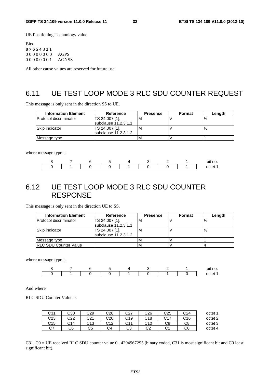UE Positioning Technology value

Bits **8 7 6 5 4 3 2 1** 0 0 0 0 0 0 0 0 AGPS 0 0 0 0 0 0 0 1 AGNSS

All other cause values are reserved for future use

# 6.11 UE TEST LOOP MODE 3 RLC SDU COUNTER REQUEST

This message is only sent in the direction SS to UE.

| <b>Information Element</b> | Reference              | <b>Presence</b> | <b>Format</b> | Length |
|----------------------------|------------------------|-----------------|---------------|--------|
| Protocol discriminator     | TS 24.007 [1].         | м               |               |        |
|                            | subclause 11.2.3.1.1   |                 |               |        |
| Skip indicator             | TS 24.007 [1],         | м               |               |        |
|                            | subclause $11.2.3.1.2$ |                 |               |        |
| Message type               |                        | M               |               |        |

where message type is:

|  |  |  |  | bit no. |
|--|--|--|--|---------|
|  |  |  |  |         |

# 6.12 UE TEST LOOP MODE 3 RLC SDU COUNTER **RESPONSE**

This message is only sent in the direction UE to SS.

| <b>Information Element</b>    | Reference            | <b>Presence</b> | Format | Length |
|-------------------------------|----------------------|-----------------|--------|--------|
| <b>Protocol discriminator</b> | TS 24.007 [1],       | M               |        |        |
|                               | subclause 11.2.3.1.1 |                 |        |        |
| Skip indicator                | TS 24.007 [1],       | M               |        |        |
|                               | subclause 11.2.3.1.2 |                 |        |        |
| Message type                  |                      |                 |        |        |
| <b>IRLC SDU Counter Value</b> |                      |                 |        |        |

where message type is:

|  |  |  |  | bit no.     |
|--|--|--|--|-------------|
|  |  |  |  | netr<br>`ھ، |

And where

RLC SDU Counter Value is

| C31     | C30 | C29 | C28             | rn7<br>ےب       | C <sub>26</sub> | C <sub>25</sub> | C <sub>24</sub> | octet 1 |
|---------|-----|-----|-----------------|-----------------|-----------------|-----------------|-----------------|---------|
| C23     | C22 | C21 | C <sub>20</sub> | C19<br>َ ب      | C18<br>◡        | C17             | C16             | octet 2 |
| C15     | C14 | C13 | <b>C10</b>      | <b>CAA</b><br>◡ | C10             | C9              | C8              | octet 3 |
| ~7<br>◡ | C6  | C5  | C4              | ⌒∩<br>w         | ⌒⌒<br>◡∠        | ົ<br>◡          | C0              | octet 4 |

C31..C0 = UE received RLC SDU counter value 0.. 4294967295 (binary coded, C31 is most significant bit and C0 least significant bit).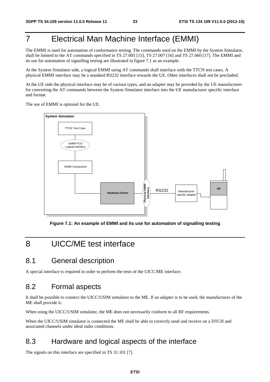# 7 Electrical Man Machine Interface (EMMI)

The EMMI is used for automation of conformance testing. The commands used on the EMMI by the System Simulator, shall be limited to the AT commands specified in TS 27.005 [15], TS 27.007 [16] and TS 27.060 [17]. The EMMI and its use for automation of signalling testing are illustrated in figure 7.1 as an example.

At the System Simulator side, a logical EMMI using AT commands shall interface with the TTCN test cases. A physical EMMI interface may be a standard RS232 interface towards the UE. Other interfaces shall not be precluded.

At the UE side the physical interface may be of various types, and an adapter may be provided by the UE manufacturer for converting the AT commands between the System Simulator interface into the UE manufacturer specific interface and format.

The use of EMMI is optional for the UE.



**Figure 7.1: An example of EMMI and its use for automation of signalling testing** 

# 8 UICC/ME test interface

## 8.1 General description

A special interface is required in order to perform the tests of the UICC/ME interface.

### 8.2 Formal aspects

It shall be possible to connect the UICC/USIM simulator to the ME. If an adapter is to be used, the manufacturer of the ME shall provide it.

When using the UICC/USIM simulator, the ME does not necessarily conform to all RF requirements.

When the UICC/USIM simulator is connected the ME shall be able to correctly send and receive on a DTCH and associated channels under ideal radio conditions.

## 8.3 Hardware and logical aspects of the interface

The signals on this interface are specified in TS 31.101 [7].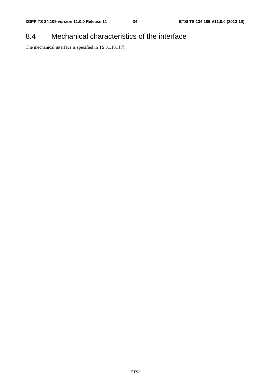# 8.4 Mechanical characteristics of the interface

The mechanical interface is specified in TS 31.101 [7].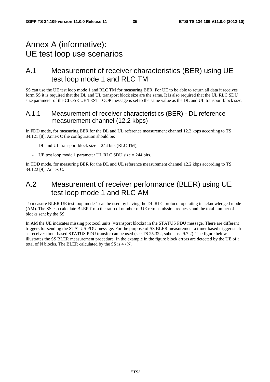# Annex A (informative): UE test loop use scenarios

# A.1 Measurement of receiver characteristics (BER) using UE test loop mode 1 and RLC TM

SS can use the UE test loop mode 1 and RLC TM for measuring BER. For UE to be able to return all data it receives form SS it is required that the DL and UL transport block size are the same. It is also required that the UL RLC SDU size parameter of the CLOSE UE TEST LOOP message is set to the same value as the DL and UL transport block size.

### A.1.1 Measurement of receiver characteristics (BER) - DL reference measurement channel (12.2 kbps)

In FDD mode, for measuring BER for the DL and UL reference measurement channel 12.2 kbps according to TS 34.121 [8], Annex C the configuration should be:

- $DL$  and UL transport block size = 244 bits (RLC TM);
- UE test loop mode 1 parameter UL RLC SDU size  $= 244$  bits.

In TDD mode, for measuring BER for the DL and UL reference measurement channel 12.2 kbps according to TS 34.122 [9], Annex C.

# A.2 Measurement of receiver performance (BLER) using UE test loop mode 1 and RLC AM

To measure BLER UE test loop mode 1 can be used by having the DL RLC protocol operating in acknowledged mode (AM). The SS can calculate BLER from the ratio of number of UE retransmission requests and the total number of blocks sent by the SS.

In AM the UE indicates missing protocol units (=transport blocks) in the STATUS PDU message. There are different triggers for sending the STATUS PDU message. For the purpose of SS BLER measurement a timer based trigger such as receiver timer based STATUS PDU transfer can be used (see TS 25.322, subclause 9.7.2). The figure below illustrates the SS BLER measurement procedure. In the example in the figure block errors are detected by the UE of a total of N blocks. The BLER calculated by the SS is 4 / N.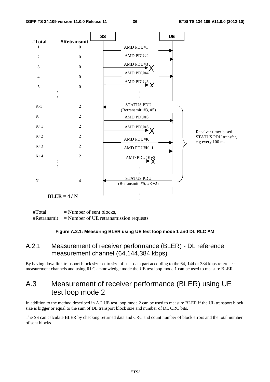

 $#Total$  = Number of sent blocks,  $\#Retransmit$  = Number of UE retransmission requests

#### **Figure A.2.1: Measuring BLER using UE test loop mode 1 and DL RLC AM**

### A.2.1 Measurement of receiver performance (BLER) - DL reference measurement channel (64,144,384 kbps)

By having downlink transport block size set to size of user data part according to the 64, 144 or 384 kbps reference measurement channels and using RLC acknowledge mode the UE test loop mode 1 can be used to measure BLER.

# A.3 Measurement of receiver performance (BLER) using UE test loop mode 2

In addition to the method described in A.2 UE test loop mode 2 can be used to measure BLER if the UL transport block size is bigger or equal to the sum of DL transport block size and number of DL CRC bits.

The SS can calculate BLER by checking returned data and CRC and count number of block errors and the total number of sent blocks.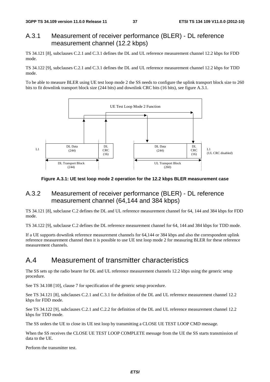### A.3.1 Measurement of receiver performance (BLER) - DL reference measurement channel (12.2 kbps)

TS 34.121 [8], subclauses C.2.1 and C.3.1 defines the DL and UL reference measurement channel 12.2 kbps for FDD mode.

TS 34.122 [9], subclauses C.2.1 and C.3.1 defines the DL and UL reference measurement channel 12.2 kbps for TDD mode.

To be able to measure BLER using UE test loop mode 2 the SS needs to configure the uplink transport block size to 260 bits to fit downlink transport block size (244 bits) and downlink CRC bits (16 bits), see figure A.3.1.



**Figure A.3.1: UE test loop mode 2 operation for the 12.2 kbps BLER measurement case** 

### A.3.2 Measurement of receiver performance (BLER) - DL reference measurement channel (64,144 and 384 kbps)

TS 34.121 [8], subclause C.2 defines the DL and UL reference measurement channel for 64, 144 and 384 kbps for FDD mode.

TS 34.122 [9], subclause C.2 defines the DL reference measurement channel for 64, 144 and 384 kbps for TDD mode.

If a UE supports downlink reference measurement channels for 64,144 or 384 kbps and also the correspondent uplink reference measurement channel then it is possible to use UE test loop mode 2 for measuring BLER for these reference measurement channels.

# A.4 Measurement of transmitter characteristics

The SS sets up the radio bearer for DL and UL reference measurement channels 12.2 kbps using the generic setup procedure.

See TS 34.108 [10], clause 7 for specification of the generic setup procedure.

See TS 34.121 [8], subclauses C.2.1 and C.3.1 for definition of the DL and UL reference measurement channel 12.2 kbps for FDD mode.

See TS 34.122 [9], subclauses C.2.1 and C.2.2 for definition of the DL and UL reference measurement channel 12.2 kbps for TDD mode.

The SS orders the UE to close its UE test loop by transmitting a CLOSE UE TEST LOOP CMD message.

When the SS receives the CLOSE UE TEST LOOP COMPLETE message from the UE the SS starts transmission of data to the UE.

*ETSI* 

Perform the transmitter test.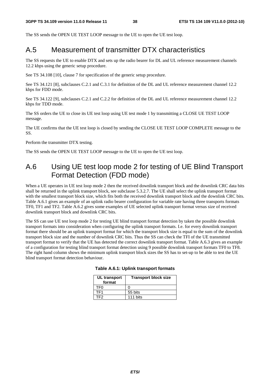The SS sends the OPEN UE TEST LOOP message to the UE to open the UE test loop.

# A.5 Measurement of transmitter DTX characteristics

The SS requests the UE to enable DTX and sets up the radio bearer for DL and UL reference measurement channels 12.2 kbps using the generic setup procedure.

See TS 34.108 [10], clause 7 for specification of the generic setup procedure.

See TS 34.121 [8], subclauses C.2.1 and C.3.1 for definition of the DL and UL reference measurement channel 12.2 kbps for FDD mode.

See TS 34.122 [9], subclauses C.2.1 and C.2.2 for definition of the DL and UL reference measurement channel 12.2 kbps for TDD mode.

The SS orders the UE to close its UE test loop using UE test mode 1 by transmitting a CLOSE UE TEST LOOP message.

The UE confirms that the UE test loop is closed by sending the CLOSE UE TEST LOOP COMPLETE message to the SS.

Perform the transmitter DTX testing.

The SS sends the OPEN UE TEST LOOP message to the UE to open the UE test loop.

# A.6 Using UE test loop mode 2 for testing of UE Blind Transport Format Detection (FDD mode)

When a UE operates in UE test loop mode 2 then the received downlink transport block and the downlink CRC data bits shall be returned in the uplink transport block, see subclause 5.3.2.7. The UE shall select the uplink transport format with the smallest transport block size, which fits both the received downlink transport block and the downlink CRC bits. Table A.6.1 gives an example of an uplink radio bearer configuration for variable rate having three transports formats TF0, TF1 and TF2. Table A.6.2 gives some examples of UE selected uplink transport format versus size of received downlink transport block and downlink CRC bits.

The SS can use UE test loop mode 2 for testing UE blind transport format detection by taken the possible downlink transport formats into consideration when configuring the uplink transport formats. I.e. for every downlink transport format there should be an uplink transport format for which the transport block size is equal to the sum of the downlink transport block size and the number of downlink CRC bits. Thus the SS can check the TFI of the UE transmitted transport format to verify that the UE has detected the correct downlink transport format. Table A.6.3 gives an example of a configuration for testing blind transport format detection using 9 possible downlink transport formats TF0 to TF8. The right hand column shows the minimum uplink transport block sizes the SS has to set-up to be able to test the UE blind transport format detection behaviour.

| UL transport<br>format | <b>Transport block size</b> |  |  |
|------------------------|-----------------------------|--|--|
| TFN                    |                             |  |  |
| TF1                    | 55 bits                     |  |  |
| TF2                    | 111 bits                    |  |  |

#### **Table A.6.1: Uplink transport formats**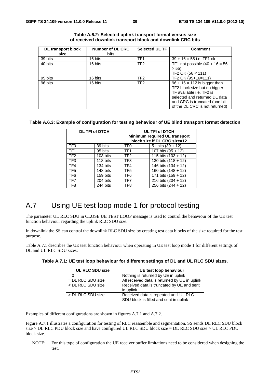| <b>DL</b> transport block | <b>Selected UL TF</b><br>Number of DL CRC |                 | <b>Comment</b>                    |
|---------------------------|-------------------------------------------|-----------------|-----------------------------------|
| size                      | <b>bits</b>                               |                 |                                   |
| 39 bits                   | 16 bits                                   | TF <sub>1</sub> | $39 + 16 = 55$ i.e. TF1 ok        |
| 40 bits                   | 16 bits                                   | TF <sub>2</sub> | TF1 not possible $(40 + 16 = 56)$ |
|                           |                                           |                 | > 55                              |
|                           |                                           |                 | TF2 OK (56 < 111)                 |
| 95 bits                   | 16 bits                                   | TF <sub>2</sub> | TF2 OK (95+16=111)                |
| 96 bits                   | 16 bits                                   | TF <sub>2</sub> | $96 + 16 = 112$ is bigger than    |
|                           |                                           |                 | TF2 block size but no bigger      |
|                           |                                           |                 | TF available i.e. TF2 is          |
|                           |                                           |                 | selected and returned DL data     |
|                           |                                           |                 | and CRC is truncated (one bit     |
|                           |                                           |                 | of the DL CRC is not returned)    |

| Table A.6.2: Selected uplink transport format versus size  |
|------------------------------------------------------------|
| of received downlink transport block and downlink CRC bits |

#### **Table A.6.3: Example of configuration for testing behaviour of UE blind transport format detection**

|                 | <b>DL TFI of DTCH</b> | UL TFI of DTCH<br>Minimum required UL transport<br>block size if DL CRC size=12 |                       |  |
|-----------------|-----------------------|---------------------------------------------------------------------------------|-----------------------|--|
| TF <sub>0</sub> | 39 bits               | TF <sub>0</sub>                                                                 | 51 bits $(39 + 12)$   |  |
| TF <sub>1</sub> | 95 bits               | TF <sub>1</sub>                                                                 | 107 bits $(95 + 12)$  |  |
| TF <sub>2</sub> | 103 bits              | TF <sub>2</sub>                                                                 | 115 bits $(103 + 12)$ |  |
| TF <sub>3</sub> | 118 bits              | TF3                                                                             | 130 bits $(118 + 12)$ |  |
| TF4             | 134 bits              | TF4                                                                             | 146 bits (134 + 12)   |  |
| TF <sub>5</sub> | 148 bits              | TF <sub>5</sub>                                                                 | 160 bits $(148 + 12)$ |  |
| TF <sub>6</sub> | 159 bits              | TF <sub>6</sub>                                                                 | 171 bits $(159 + 12)$ |  |
| TF7             | 204 bits              | TF7                                                                             | 216 bits $(204 + 12)$ |  |
| TF <sub>8</sub> | 244 bits              | TF8                                                                             | 256 bits (244 + 12)   |  |

# A.7 Using UE test loop mode 1 for protocol testing

The parameter UL RLC SDU in CLOSE UE TEST LOOP message is used to control the behaviour of the UE test function behaviour regarding the uplink RLC SDU size.

In downlink the SS can control the downlink RLC SDU size by creating test data blocks of the size required for the test purpose.

Table A.7.1 describes the UE test function behaviour when operating in UE test loop mode 1 for different settings of DL and UL RLC SDU sizes:

| <b>UL RLC SDU size</b> | UE test loop behaviour                                                           |
|------------------------|----------------------------------------------------------------------------------|
| $= 0$                  | Nothing is returned by UE in uplink                                              |
| $=$ DL RLC SDU size    | All received data is returned by UE in uplink                                    |
| < DL RLC SDU size      | Received data is truncated by UE and sent<br>in uplink                           |
| > DL RLC SDU size      | Received data is repeated until UL RLC<br>SDU block is filled and sent in uplink |

**Table A.7.1: UE test loop behaviour for different settings of DL and UL RLC SDU sizes.** 

Examples of different configurations are shown in figures A.7.1 and A.7.2.

Figure A.7.1 illustrates a configuration for testing of RLC reassemble and segmentation. SS sends DL RLC SDU block size > DL RLC PDU block size and have configured UL RLC SDU block size = DL RLC SDU size > UL RLC PDU block size.

NOTE: For this type of configuration the UE receiver buffer limitations need to be considered when designing the test.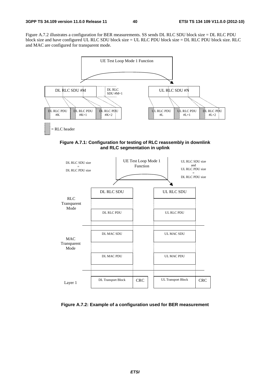Figure A.7.2 illustrates a configuration for BER measurements. SS sends DL RLC SDU block size = DL RLC PDU block size and have configured UL RLC SDU block size = UL RLC PDU block size = DL RLC PDU block size. RLC and MAC are configured for transparent mode.



**Figure A.7.1: Configuration for testing of RLC reassembly in downlink and RLC segmentation in uplink** 



**Figure A.7.2: Example of a configuration used for BER measurement**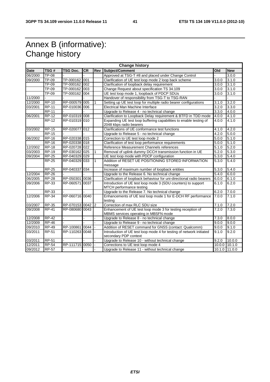# Annex B (informative): Change history

| <b>Change history</b> |                    |                  |           |              |                                                                                                                 |       |            |
|-----------------------|--------------------|------------------|-----------|--------------|-----------------------------------------------------------------------------------------------------------------|-------|------------|
| <b>Date</b>           | TSG#               | <b>TSG Doc.</b>  | <b>CR</b> | Rev          | Subject/Comment                                                                                                 | Old   | <b>New</b> |
| 06/2000               | TP-08              |                  |           |              | Approved at TSG-T #8 and placed under Change Control                                                            |       | 3.0.0      |
| 09/2000               | <b>TP-09</b>       | TP-000162 001    |           |              | Clarification of UE test loop mode 2 loop back scheme                                                           |       | 3.1.0      |
|                       | TP-09              | TP-000162 002    |           |              | Clarification of loopback delay requirement                                                                     |       | 3.1.0      |
|                       | TP-09              | TP-000162 003    |           |              | Change Request about specification TS 34.109                                                                    |       | 3.1.0      |
|                       | $\overline{TP-09}$ | TP-000162 004    |           |              | UE test loop mode 1, loopback of PDCP SDUs                                                                      | 3.0.0 | 3.1.0      |
| 11/2000               |                    |                  |           |              | Handover of responsibility from TSG-T to TSG-RAN                                                                |       |            |
| 12/2000               | <b>RP-10</b>       | RP-000579 005    |           | 1            | Setting up UE test loop for multiple radio bearer configurations                                                | 3.1.0 | 3.2.0      |
| 03/2001               | <b>RP-11</b>       | RP-010036 006    |           |              | Electrical Man Machine Interface                                                                                | 3.2.0 | 3.3.0      |
|                       | <b>RP-11</b>       |                  |           |              | Upgrade to Release 4 - no technical change                                                                      | 3.3.0 | 4.0.0      |
| 06/2001               | <b>RP-12</b>       | RP-010319 008    |           |              | Clarification to Loopback Delay requirement & BTFD in TDD mode                                                  | 4.0.0 | 4.1.0      |
|                       | <b>RP-12</b>       | RP-010319 010    |           |              | Expanding UE test loop buffering capabilities to enable testing of<br>2048 kbps radio bearers                   | 4.0.0 | 4.1.0      |
| 03/2002               | <b>RP-15</b>       | RP-020077 012    |           |              | Clarifications of UE conformance test functions                                                                 | 4.1.0 | 4.2.0      |
|                       | <b>RP-15</b>       |                  |           |              | Upgrade to Release 5 - no technical change                                                                      | 4.2.0 | 5.0.0      |
| 06/2002               | <b>RP-16</b>       | RP-020338 015    |           |              | Correction to UE test loop mode 2                                                                               | 5.0.0 | 5.1.0      |
|                       | <b>RP-16</b>       | RP-020338 018    |           |              | Clarification of test loop performance requirements                                                             | 5.0.0 | 5.1.0      |
| 12/2002               | $RP-18$            | RP-020728 022    |           |              | Reference Measurement Channels references                                                                       | 5.1.0 | 5.2.0      |
| 03/2003               | <b>RP-19</b>       | RP-030162 025    |           |              | Removal of uplink dummy DCCH transmission function in UE                                                        | 5.2.0 | 5.3.0      |
| 09/2004               | <b>RP-25</b>       | RP-040329 029    |           |              | UE test loop mode with PDCP configuration                                                                       | 5.3.0 | 5.4.0      |
|                       | <b>RP-25</b>       | RP-040329 033    |           | $\mathbf{1}$ | Addition of RESET UE POSITIONING STORED INFORMATION<br>message                                                  | 5.3.0 | 5.4.0      |
|                       | <b>RP-25</b>       | RP-040337        | 034       |              | Increase of maximum number of loopback entities                                                                 | 5.3.0 | 5.4.0      |
| 12/2004               | <b>RP-26</b>       |                  |           |              | Upgrade to the Release 6. No technical change<br>5.4.0                                                          |       | 6.0.0      |
| 06/2005               | <b>RP-28</b>       | RP-050301        | 0036      |              | Clarification of loopback behaviour for uni-directional radio bearers<br>6.0.0                                  |       | 6.1.0      |
| 09/2006               | <b>RP-33</b>       | RP-060571        | 0037      |              | Introduction of UE test loop mode 3 (SDU counters) to support<br>6.1.0<br>MTCH performance testing              |       | 6.2.0      |
|                       | RP-33              |                  |           |              | Upgrade to the Release 7. No technical change                                                                   | 6.2.0 | 7.0.0      |
| 12/2006               | <b>RP-34</b>       | RP-060716 0040   |           |              | Enhancements of UE test loop mode 1 for E-DCH RF performance<br>testina                                         | 7.0.0 | 7.1.0      |
| 03/2007               | <b>RP-35</b>       | RP-070153 0042 2 |           |              | Correction of max RLC SDU size                                                                                  | 7.1.0 | 7.2.0      |
| 09/2008               | <b>RP-41</b>       | RP-080680 0043   |           |              | Enhancement of UE test loop mode 3 for testing reception of<br>MBMS services operating in MBSFN mode            | 7.2.0 | 7.3.0      |
| 12/2008               | <b>RP-42</b>       |                  |           |              | Upgrade to Release 8 - no technical change                                                                      | 7.3.0 | 8.0.0      |
| 12/2009               | $RP-46$            |                  |           |              | Upgrade to Release 9 - no technical change                                                                      | 9.0.0 | 9.0.0      |
| 09/2010               | <b>RP-49</b>       | RP-100861 0044   |           |              | Addition of RESET command for GNSS (contact: Qualcomm)                                                          | 9.0.0 | 9.1.0      |
| 03/2011               | <b>RP-51</b>       | RP-110263 0048   |           |              | Introduction of UE test loop mode 4 for testing of network initiated<br>9.2.0<br>9.1.0<br>secondary PDP context |       |            |
| 03/2011               | <b>RP-51</b>       |                  |           |              | Upgrade to Release 10 - without technical change                                                                | 9.2.0 | 10.0.0     |
| 12/2011               | <b>RP-54</b>       | RP-111715 0050   |           |              | Corrections to UE test loop mode 4<br>10.0.0 10.1.0                                                             |       |            |
| 09/2012               | <b>RP-57</b>       |                  |           |              | Upgrade to Release 11 - without technical change<br>10.1.0 11.0.0                                               |       |            |